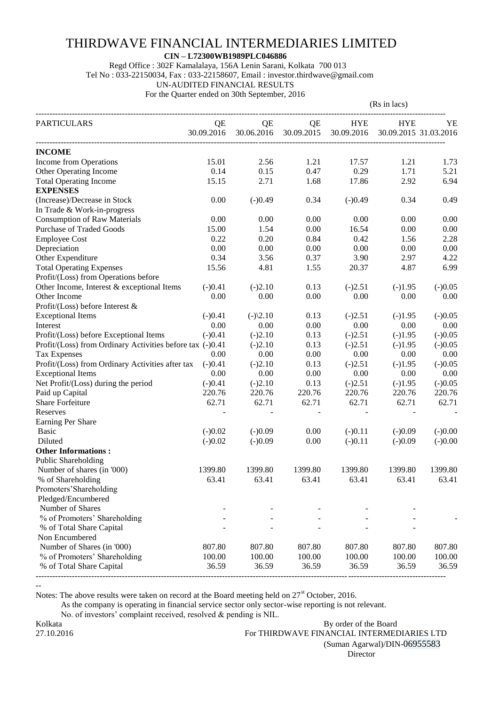## THIRDWAVE FINANCIAL INTERMEDIARIES LIMITED

 **CIN – L72300WB1989PLC046886**

Regd Office : 302F Kamalalaya, 156A Lenin Sarani, Kolkata 700 013

Tel No : 033-22150034, Fax : 033-22158607, Email : investor.thirdwave@gmail.com

UN-AUDITED FINANCIAL RESULTS

For the Quarter ended on 30th September, 2016

|                                                           |            |              |            | (Rs in lacs) |                       |           |
|-----------------------------------------------------------|------------|--------------|------------|--------------|-----------------------|-----------|
| <b>PARTICULARS</b>                                        | QE         | QE           | QE         | <b>HYE</b>   | <b>HYE</b>            | YΕ        |
|                                                           | 30.09.2016 | 30.06.2016   | 30.09.2015 | 30.09.2016   | 30.09.2015 31.03.2016 |           |
| <b>INCOME</b>                                             |            |              |            |              |                       |           |
| Income from Operations                                    | 15.01      | 2.56         | 1.21       | 17.57        | 1.21                  | 1.73      |
| Other Operating Income                                    | 0.14       | 0.15         | 0.47       | 0.29         | 1.71                  | 5.21      |
| <b>Total Operating Income</b>                             | 15.15      | 2.71         | 1.68       | 17.86        | 2.92                  | 6.94      |
| <b>EXPENSES</b>                                           |            |              |            |              |                       |           |
| (Increase)/Decrease in Stock                              | 0.00       | $(-)0.49$    | 0.34       | $(-)0.49$    | 0.34                  | 0.49      |
| In Trade & Work-in-progress                               |            |              |            |              |                       |           |
| <b>Consumption of Raw Materials</b>                       | 0.00       | 0.00         | 0.00       | 0.00         | 0.00                  | 0.00      |
| <b>Purchase of Traded Goods</b>                           | 15.00      | 1.54         | 0.00       | 16.54        | 0.00                  | 0.00      |
| <b>Employee Cost</b>                                      | 0.22       | 0.20         | 0.84       | 0.42         | 1.56                  | 2.28      |
| Depreciation                                              | 0.00       | 0.00         | 0.00       | 0.00         | 0.00                  | 0.00      |
| Other Expenditure                                         | 0.34       | 3.56         | 0.37       | 3.90         | 2.97                  | 4.22      |
| <b>Total Operating Expenses</b>                           | 15.56      | 4.81         | 1.55       | 20.37        | 4.87                  | 6.99      |
| Profit/(Loss) from Operations before                      |            |              |            |              |                       |           |
| Other Income, Interest & exceptional Items                | $(-)0.41$  | $(-)2.10$    | 0.13       | $(-)2.51$    | $(-)1.95$             | $(-)0.05$ |
| Other Income                                              | 0.00       | 0.00         | 0.00       | 0.00         | 0.00                  | 0.00      |
| Profit/(Loss) before Interest $\&$                        |            |              |            |              |                       |           |
| <b>Exceptional Items</b>                                  | $(-)0.41$  | $(-)$ $2.10$ | 0.13       | $(-)2.51$    | $(-)1.95$             | $(-)0.05$ |
| Interest                                                  | 0.00       | 0.00         | 0.00       | 0.00         | 0.00                  | 0.00      |
| Profit/(Loss) before Exceptional Items                    | $(-)0.41$  | $(-)2.10$    | 0.13       | $(-)2.51$    | $(-)1.95$             | $(-)0.05$ |
| Profit/(Loss) from Ordinary Activities before tax (-)0.41 |            | $(-)2.10$    | 0.13       | $(-)2.51$    | $(-)1.95$             | $(-)0.05$ |
| <b>Tax Expenses</b>                                       | 0.00       | 0.00         | 0.00       | 0.00         | 0.00                  | 0.00      |
| Profit/(Loss) from Ordinary Activities after tax          | $(-)0.41$  | $(-)2.10$    | 0.13       | $(-)2.51$    | $(-)1.95$             | $(-)0.05$ |
| <b>Exceptional Items</b>                                  | 0.00       | 0.00         | 0.00       | 0.00         | 0.00                  | 0.00      |
| Net Profit/(Loss) during the period                       | $(-)0.41$  | $(-)2.10$    | 0.13       | $(-)2.51$    | $(-)1.95$             | $(-)0.05$ |
| Paid up Capital                                           | 220.76     | 220.76       | 220.76     | 220.76       | 220.76                | 220.76    |
| <b>Share Forfeiture</b>                                   | 62.71      | 62.71        | 62.71      | 62.71        | 62.71                 | 62.71     |
| Reserves                                                  |            |              |            |              |                       |           |
|                                                           |            |              |            |              |                       |           |
| Earning Per Share                                         |            |              |            |              |                       |           |
| <b>Basic</b>                                              | $(-)0.02$  | $(-)0.09$    | 0.00       | $(-)0.11$    | $(-)0.09$             | $(-)0.00$ |
| Diluted                                                   | $(-)0.02$  | $(-)0.09$    | 0.00       | $(-)0.11$    | $(-)0.09$             | $(-)0.00$ |
| <b>Other Informations:</b>                                |            |              |            |              |                       |           |
| Public Shareholding                                       |            |              |            |              |                       |           |
| Number of shares (in '000)                                | 1399.80    | 1399.80      | 1399.80    | 1399.80      | 1399.80               | 1399.80   |
| % of Shareholding                                         | 63.41      | 63.41        | 63.41      | 63.41        | 63.41                 | 63.41     |
| Promoters'Shareholding                                    |            |              |            |              |                       |           |
| Pledged/Encumbered                                        |            |              |            |              |                       |           |
| Number of Shares                                          |            |              |            |              |                       |           |
| % of Promoters' Shareholding                              |            |              |            |              |                       |           |
| % of Total Share Capital                                  |            |              |            |              |                       |           |
| Non Encumbered                                            |            |              |            |              |                       |           |
| Number of Shares (in '000)                                | 807.80     | 807.80       | 807.80     | 807.80       | 807.80                | 807.80    |
| % of Promoters' Shareholding                              | 100.00     | 100.00       | 100.00     | 100.00       | 100.00                | 100.00    |
| % of Total Share Capital                                  | 36.59      | 36.59        | 36.59      | 36.59        | 36.59                 | 36.59     |

Notes: The above results were taken on record at the Board meeting held on  $27<sup>st</sup>$  October, 2016.

As the company is operating in financial service sector only sector-wise reporting is not relevant.

No. of investors' complaint received, resolved & pending is NIL.

--

Kolkata By order of the Board 27.10.2016 For THIRDWAVE FINANCIAL INTERMEDIARIES LTD (Suman Agarwal)/DIN-06955583 **Director Director**